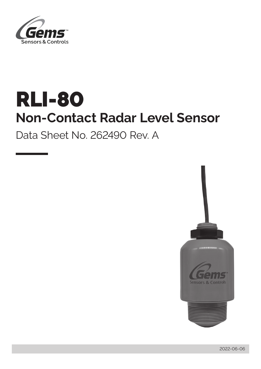

# RLI-80 **Non-Contact Radar Level Sensor**

Data Sheet No. 262490 Rev. A

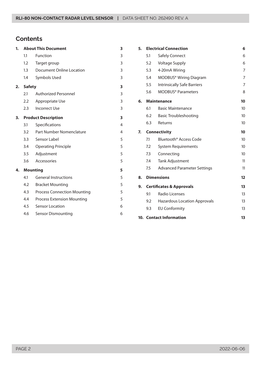# **Contents**

| 1. |               | <b>About This Document</b>         | 3              |
|----|---------------|------------------------------------|----------------|
|    | 1.1           | Function                           | 3              |
|    | 1.2           | Target group                       | 3              |
|    | 1.3           | <b>Document Online Location</b>    | 3              |
|    | 1.4           | Symbols Used                       | 3              |
| 2. | <b>Safety</b> |                                    | 3              |
|    | 2.1           | <b>Authorized Personnel</b>        | 3              |
|    | 2.2           | Appropriate Use                    | 3              |
|    | 2.3           | <b>Incorrect Use</b>               | 3              |
| 3. |               | <b>Product Description</b>         | 3              |
|    | 3.1           | Specifications                     | $\overline{4}$ |
|    | 3.2           | Part Number Nomenclature           | 4              |
|    | 3.3           | Sensor Label                       | 5              |
|    | 3.4           | <b>Operating Principle</b>         | 5              |
|    | 3.5           | Adjustment                         | 5              |
|    | 3.6           | Accessories                        | 5              |
| 4. |               | <b>Mounting</b>                    | 5              |
|    | 4.1           | <b>General Instructions</b>        | 5              |
|    | 4.2           | <b>Bracket Mounting</b>            | 5              |
|    | 4.3           | <b>Process Connection Mounting</b> | 5              |
|    | 4.4           | <b>Process Extension Mounting</b>  | 5              |
|    | 4.5           | <b>Sensor Location</b>             | 6              |
|    | 4.6           | <b>Sensor Dismounting</b>          | 6              |

| 5. | <b>Electrical Connection</b><br>6   |                                     |                  |  |  |
|----|-------------------------------------|-------------------------------------|------------------|--|--|
|    | 5.1                                 | Safely Connect                      | 6                |  |  |
|    | 5.2                                 | 6                                   |                  |  |  |
|    | 5.3                                 | 4-20mA Wiring                       |                  |  |  |
|    | 5.4                                 | MODBUS <sup>®</sup> Wiring Diagram  | 7                |  |  |
|    | 5.5                                 | <b>Intrinsically Safe Barriers</b>  | 7                |  |  |
|    | 5.6                                 | <b>MODBUS®</b> Parameters           | 8                |  |  |
| 6. |                                     | <b>Maintenance</b>                  | 10               |  |  |
|    | 6.1                                 | <b>Basic Maintenance</b>            | 10 <sup>°</sup>  |  |  |
|    | 6.2                                 | <b>Basic Troubleshooting</b>        | 10 <sup>°</sup>  |  |  |
|    | 6.3                                 | Returns                             | 10 <sup>°</sup>  |  |  |
| 7. |                                     | <b>Connectivity</b>                 | 10               |  |  |
|    | 7.1                                 | Bluetooth <sup>®</sup> Access Code  | 10 <sup>10</sup> |  |  |
|    | 7.2                                 | <b>System Requirements</b>          | 10               |  |  |
|    | 7.3                                 | Connecting                          | 10               |  |  |
|    | 7.4                                 | <b>Tank Adjustment</b>              | 11               |  |  |
|    | 7.5                                 | <b>Advanced Parameter Settings</b>  | 11               |  |  |
| 8. |                                     | <b>Dimensions</b>                   | 12               |  |  |
| 9. | <b>Certificates &amp; Approvals</b> |                                     |                  |  |  |
|    | 9.1                                 | Radio Licenses                      | 13               |  |  |
|    | 9.2                                 | <b>Hazardous Location Approvals</b> | 13               |  |  |
|    | 9.3                                 | <b>EU Conformity</b>                | 13               |  |  |
|    |                                     | <b>10. Contact Information</b>      | 13               |  |  |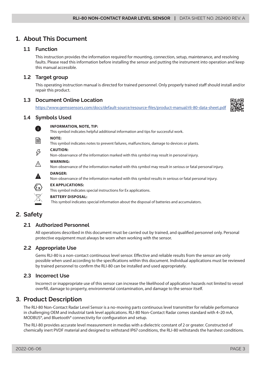# <span id="page-2-0"></span>**1. About This Document**

# **1.1 Function**

This instruction provides the information required for mounting, connection, setup, maintenance, and resolving faults. Please read this information before installing the sensor and putting the instrument into operation and keep this manual accessible.

# **1.2 Target group**

This operating instruction manual is directed for trained personnel. Only properly trained staff should install and/or repair this product.

# **1.3 Document Online Location**

[https://www.gemssensors.com/docs/default-source/resource-files/product-manual/rli-80-data-sheet.pdf](https://www.gemssensors.com/docs/default-source/resource-files/product-manual/rli-80-data-sheet.pdf )



# **1.4 Symbols Used**



# **INFORMATION, NOTE, TIP:**

This symbol indicates helpful additional information and tips for successful work.

**NOTE:** 

This symbol indicates notes to prevent failures, malfunctions, damage to devices or plants.

# **CAUTION:**

Non-observance of the information marked with this symbol may result in personal injury.



**WARNING:** 

Non-observance of the information marked with this symbol may result in serious or fatal personal injury.



# **DANGER:**

Non-observance of the information marked with this symbol results in serious or fatal personal injury.



#### **BATTERY DISPOSAL:**

**EX APPLICATIONS:** 

This symbol indicates special information about the disposal of batteries and accumulators.

This symbol indicates special instructions for Ex applications.

# **2. Safety**

# **2.1 Authorized Personnel**

All operations described in this document must be carried out by trained, and qualified personnel only. Personal protective equipment must always be worn when working with the sensor.

# **2.2 Appropriate Use**

Gems RLI-80 is a non-contact continuous level sensor. Effective and reliable results from the sensor are only possible when used according to the specifications within this document. Individual applications must be reviewed by trained personnel to confirm the RLI-80 can be installed and used appropriately.

# **2.3 Incorrect Use**

Incorrect or inappropriate use of this sensor can increase the likelihood of application hazards not limited to vessel overfill, damage to property, environmental contamination, and damage to the sensor itself.

# **3. Product Description**

The RLI-80 Non-Contact Radar Level Sensor is a no-moving parts continuous level transmitter for reliable performance in challenging OEM and industrial tank level applications. RLI-80 Non-Contact Radar comes standard with 4–20 mA, MODBUS®, and Bluetooth® connectivity for configuration and setup.

The RLI-80 provides accurate level measurement in medias with a dielectric constant of 2 or greater. Constructed of chemically inert PVDF material and designed to withstand IP67 conditions, the RLI-80 withstands the harshest conditions.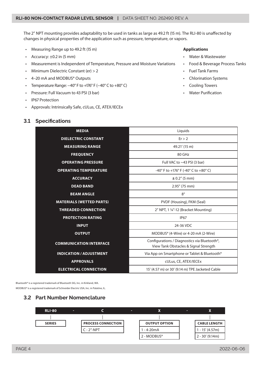<span id="page-3-0"></span>The 2" NPT mounting provides adaptability to be used in tanks as large as 49.2 ft (15 m). The RLI-80 is unaffected by changes in physical properties of the application such as pressure, temperature, or vapors.

- Measuring Range up to 49.2 ft (15 m)
- Accuracy:  $\pm 0.2$  in (5 mm)
- Measurement is Independent of Temperature, Pressure and Moisture Variations
- Minimum Dielectric Constant (er) > 2
- 4–20 mA and MODBUS® Outputs
- Temperature Range: −40° F to +176° F (−40° C to +80° C)
- Pressure: Full Vacuum to 43 PSI (3 bar)
- IP67 Protection
- Approvals: Intrinsically Safe, cULus, CE, ATEX/IECEx

#### **3.1 Specifications**

#### **Applications**

- Water & Wastewater
- Food & Beverage Process Tanks
- Fuel Tank Farms
- Chlorination Systems
- Cooling Towers
- Water Purification

| <b>MEDIA</b>                    | Liquids                                                                                            |  |
|---------------------------------|----------------------------------------------------------------------------------------------------|--|
| <b>DIELECTRIC CONSTANT</b>      | Er > 2                                                                                             |  |
| <b>MEASURING RANGE</b>          | 49.21' (15 m)                                                                                      |  |
| <b>FREQUENCY</b>                | 80 GHz                                                                                             |  |
| <b>OPERATING PRESSURE</b>       | Full VAC to $\sim$ 43 PSI (3 bar)                                                                  |  |
| <b>OPERATING TEMPERATURE</b>    | -40° F to +176° F (-40° C to +80° C)                                                               |  |
| <b>ACCURACY</b>                 | $± 0.2"$ (5 mm)                                                                                    |  |
| <b>DEAD BAND</b>                | 2.95" (75 mm)                                                                                      |  |
| <b>BEAM ANGLE</b>               | $8^{\circ}$                                                                                        |  |
| <b>MATERIALS (WETTED PARTS)</b> | PVDF (Housing), FKM (Seal)                                                                         |  |
| <b>THREADED CONNECTION</b>      | 2" NPT, 1 1/4"-12 (Bracket Mounting)                                                               |  |
| <b>PROTECTION RATING</b>        | <b>IP67</b>                                                                                        |  |
| <b>INPUT</b>                    | 24-36 VDC                                                                                          |  |
| <b>OUTPUT</b>                   | MODBUS® (4-Wire) or 4-20 mA (2-Wire)                                                               |  |
| <b>COMMUNICATION INTERFACE</b>  | Configurations / Diagnostics via Bluetooth <sup>®</sup> ,<br>View Tank Obstacles & Signal Strength |  |
| <b>INDICATION / ADJUSTMENT</b>  | Via App on Smartphone or Tablet & Bluetooth <sup>®</sup>                                           |  |
| <b>APPROVALS</b>                | cULus, CE, ATEX/IECEx                                                                              |  |
| <b>ELECTRICAL CONNECTION</b>    | 15' (4.57 m) or 30' (9.14 m) TPE Jacketed Cable                                                    |  |

Bluetooth® is a registered trademark of Bluetooth SIG, Inc. in Kirkland, WA.

MODBUS® is a registered trademark of Schneider Electric USA, Inc. in Palatine, IL.



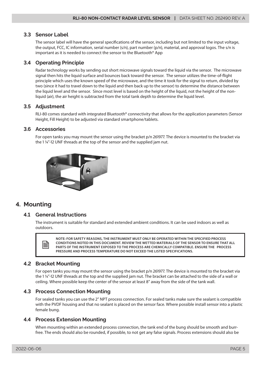# <span id="page-4-0"></span>**3.3 Sensor Label**

The sensor label will have the general specifications of the sensor, including but not limited to the input voltage, the output, FCC, IC information, serial number (s/n), part number (p/n), material, and approval logos. The s/n is important as it is needed to connect the sensor to the Bluetooth® App

# **3.4 Operating Principle**

Radar technology works by sending out short microwave signals toward the liquid via the sensor. The microwave signal then hits the liquid surface and bounces back toward the sensor. The sensor utilizes the time-of-flight principle which uses the known speed of the microwave, and the time it took for the signal to return, divided by two (since it had to travel down to the liquid and then back up to the sensor) to determine the distance between the liquid level and the sensor. Since most level is based on the height of the liquid, not the height of the nonliquid (air), the air height is subtracted from the total tank depth to determine the liquid level.

# **3.5 Adjustment**

RLI-80 comes standard with integrated Bluetooth<sup>®</sup> connectivity that allows for the application parameters (Sensor Height, Fill Height) to be adjusted via standard smartphone/tablets.

#### **3.6 Accessories**

For open tanks you may mount the sensor using the bracket p/n 261977. The device is mounted to the bracket via the 1 ¼"-12 UNF threads at the top of the sensor and the supplied jam nut.



# **4. Mounting**

#### **4.1 General Instructions**

The instrument is suitable for standard and extended ambient conditions. It can be used indoors as well as outdoors.



**NOTE: FOR SAFETY REASONS, THE INSTRUMENT MUST ONLY BE OPERATED WITHIN THE SPECIFIED PROCESS CONDITIONS NOTED IN THIS DOCUMENT. REVIEW THE WETTED MATERIALS OF THE SENSOR TO ENSURE THAT ALL PARTS OF THE INSTRUMENT EXPOSED TO THE PROCESS ARE CHEMICALLY COMPATIBLE. ENSURE THE PROCESS PRESSURE AND PROCESS TEMPERATURE DO NOT EXCEED THE LISTED SPECIFICATIONS.** 

# **4.2 Bracket Mounting**

For open tanks you may mount the sensor using the bracket p/n 261977. The device is mounted to the bracket via the 1 ¼"-12 UNF threads at the top and the supplied jam nut. The bracket can be attached to the side of a wall or ceiling. Where possible keep the center of the sensor at least 8" away from the side of the tank wall.

# **4.3 Process Connection Mounting**

For sealed tanks you can use the 2" NPT process connection. For sealed tanks make sure the sealant is compatible with the PVDF housing and that no sealant is placed on the sensor face. Where possible install sensor into a plastic female bung.

# **4.4 Process Extension Mounting**

When mounting within an extended process connection, the tank end of the bung should be smooth and burrfree. The ends should also be rounded, if possible, to not get any false signals. Process extensions should also be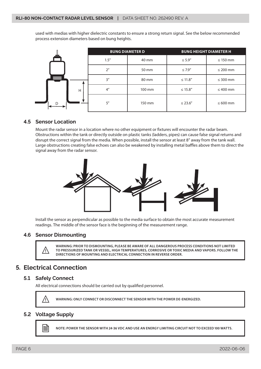<span id="page-5-0"></span>used with medias with higher dielectric constants to ensure a strong return signal. See the below recommended process extension diameters based on bung heights.

|   | <b>BUNG DIAMETER D</b> |        | <b>BUNG HEIGHT DIAMETER H</b> |               |
|---|------------------------|--------|-------------------------------|---------------|
|   | 1.5''                  | 40 mm  | $\leq 5.9''$                  | $\leq 150$ mm |
|   | 2 <sup>n</sup>         | 50 mm  | $\leq 7.9''$                  | $\leq 200$ mm |
| 旱 | 3''                    | 80 mm  | $\leq$ 11.8"                  | $\leq 300$ mm |
| H | 4 <sup>''</sup>        | 100 mm | $\leq$ 15.8"                  | $\leq 400$ mm |
| D | 5''                    | 150 mm | $\leq$ 23.6"                  | $\leq 600$ mm |

## **4.5 Sensor Location**

Mount the radar sensor in a location where no other equipment or fixtures will encounter the radar beam. Obstructions within the tank or directly outside on plastic tanks (ladders, pipes) can cause false signal returns and disrupt the correct signal from the media. When possible, install the sensor at least 8" away from the tank wall. Large obstructions creating false echoes can also be weakened by installing metal baffles above them to direct the signal away from the radar sensor.



Install the sensor as perpendicular as possible to the media surface to obtain the most accurate measurement readings. The middle of the sensor face is the beginning of the measurement range.

#### **4.6 Sensor Dismounting**



WARNING: PRIOR TO DISMOUNTING, PLEASE BE AWARE OF ALL DANGEROUS PROCESS CONDITIONS NOT LIMITED<br>TO PRESSURIZED TANK OR VESSEL, HIGH TEMPERATURES, CORROSIVE OR TOXIC MEDIA AND VAPORS. FOLLOW THE<br>DIRECTIONS OF MOUNTING AND FL **DIRECTIONS OF MOUNTING AND ELECTRICAL CONNECTION IN REVERSE ORDER.** 

# **5. Electrical Connection**

#### **5.1 Safely Connect**

All electrical connections should be carried out by qualified personnel.



**WARNING: ONLY CONNECT OR DISCONNECT THE SENSOR WITH THE POWER DE-ENERGIZED.** 

# **5.2 Voltage Supply**



**NOTE: POWER THE SENSOR WITH 24-36 VDC AND USE AN ENERGY LIMITING CIRCUIT NOT TO EXCEED 100 WATTS.**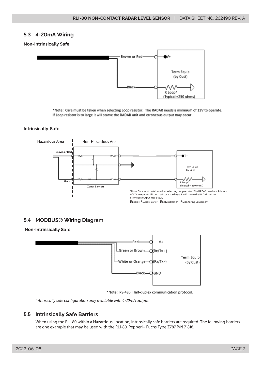# <span id="page-6-0"></span>**5.3 4-20mA Wiring**

#### **Non-Intrinsically Safe**



\*Note: Care must be taken when selecting Loop resistor. The RADAR needs a minimum of 12V to operate. If Loop resistor is to large it will starve the RADAR unit and erroneous output may occur.

#### **Intrinsically-Safe**



# **5.4 MODBUS® Wiring Diagram**

#### **Non-Intrinsically Safe**



\*Note: RS-485 Half-duplex communication protocol.

*Intrinsically safe configuration only available with 4-20mA output.*

# **5.5 Intrinsically Safe Barriers**

When using the RLI-80 within a Hazardous Location, intrinsically safe barriers are required. The following barriers are one example that may be used with the RLI-80. Pepperl+ Fuchs Type Z787 P/N 71816.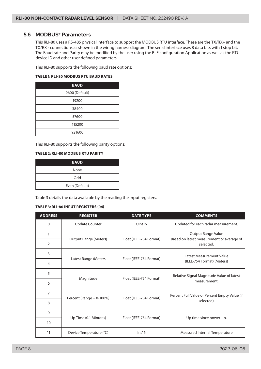## <span id="page-7-0"></span>**5.6 MODBUS**® **Parameters**

This RLI-80 uses a RS-485 physical interface to support the MODBUS RTU interface. These are the TX/RX+ and the TX/RX - connections as shown in the wiring harness diagram. The serial interface uses 8 data bits with 1 stop bit. The Baud rate and Parity may be modified by the user using the BLE configuration Application as well as the RTU device ID and other user defined parameters.

This RLI-80 supports the following baud rate options:

#### **TABLE 1: RLI-80 MODBUS RTU BAUD RATES**

| <b>BAUD</b>    |
|----------------|
| 9600 (Default) |
| 19200          |
| 38400          |
| 57600          |
| 115200         |
| 921600         |

This RLI-80 supports the following parity options:

#### **TABLE 2: RLI-80 MODBUS RTU PARITY**

| <b>BAUD</b>    |
|----------------|
| None           |
| Odd            |
| Even (Default) |

Table 3 details the data available by the reading the Input registers.

#### **TABLE 3: RLI-80 INPUT REGISTERS (04)**

| <b>ADDRESS</b> | <b>REGISTER</b><br><b>DATE TYPE</b> |                         | <b>COMMENTS</b>                                                                     |  |
|----------------|-------------------------------------|-------------------------|-------------------------------------------------------------------------------------|--|
| $\mathbf{0}$   | <b>Update Counter</b>               | Uint16                  | Updated for each radar measurement.                                                 |  |
| $\mathbf{1}$   | <b>Output Range (Meters)</b>        | Float (IEEE-754 Format) | <b>Output Range Value</b><br>Based on latest measurement or average of<br>selected. |  |
| $\overline{2}$ |                                     |                         |                                                                                     |  |
| 3              |                                     |                         | Latest Measurement Value                                                            |  |
| 4              | Latest Range (Meters                | Float (IEEE-754 Format) | (IEEE-754 Format) (Meters)                                                          |  |
| 5              |                                     | Float (IEEE-754 Format) | Relative Signal Magnitude Value of latest<br>measurement.                           |  |
| 6              | Magnitude                           |                         |                                                                                     |  |
| $\overline{7}$ | Percent (Range $= 0-100%$ )         | Float (IEEE-754 Format) | Percent Full Value or Percent Empty Value (if                                       |  |
| 8              |                                     |                         | selected).                                                                          |  |
| 9              |                                     |                         |                                                                                     |  |
| 10             | Up Time (0.1 Minutes)               | Float (IEEE-754 Format) | Up time since power-up.                                                             |  |
| 11             | Device Temperature (°C)             | Int16                   | Measured Internal Temperature                                                       |  |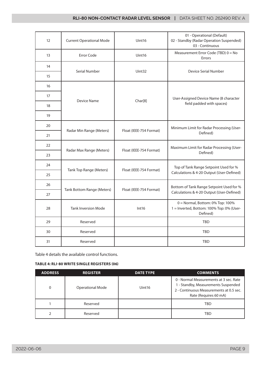| 12 | <b>Current Operational Mode</b><br>Uint16 |                         | 01 - Operational (Default)<br>02 - Standby (Radar Operation Suspended)<br>03 - Continuous |
|----|-------------------------------------------|-------------------------|-------------------------------------------------------------------------------------------|
| 13 | <b>Error Code</b>                         | Uint16                  | Measurement Error Code (TBD) 0 = No<br>Errors                                             |
| 14 |                                           | Uint32                  | Device Serial Number                                                                      |
| 15 | Serial Number                             |                         |                                                                                           |
| 16 |                                           |                         |                                                                                           |
| 17 |                                           |                         | User-Assigned Device Name (8 character                                                    |
| 18 | Device Name                               | Char[8]                 | field padded with spaces)                                                                 |
| 19 |                                           |                         |                                                                                           |
| 20 |                                           |                         | Minimum Limit for Radar Processing (User-                                                 |
| 21 | Radar Min Range (Meters)                  | Float (IEEE-754 Format) | Defined)                                                                                  |
| 22 |                                           |                         | Maximum Limit for Radar Processing (User-                                                 |
| 23 | Radar Max Range (Meters)                  | Float (IEEE-754 Format) | Defined)                                                                                  |
| 24 |                                           |                         | Top of Tank Range Setpoint Used for %                                                     |
| 25 | Tank Top Range (Meters)                   | Float (IEEE-754 Format) | Calculations & 4-20 Output (User-Defined)                                                 |
| 26 |                                           |                         | Bottom of Tank Range Setpoint Used for %                                                  |
| 27 | <b>Tank Bottom Range (Meters)</b>         | Float (IEEE-754 Format) | Calculations & 4-20 Output (User-Defined)                                                 |
| 28 | <b>Tank Inversion Mode</b>                | Int16                   | 0 = Normal, Bottom: 0% Top: 100%<br>1 = Inverted, Bottom: 100% Top: 0% (User-<br>Defined) |
| 29 | Reserved                                  |                         | <b>TBD</b>                                                                                |
| 30 | Reserved                                  |                         | <b>TBD</b>                                                                                |
| 31 | Reserved                                  |                         | TBD                                                                                       |

Table 4 details the available control functions.

#### **TABLE 4: RLI-80 WRITE SINGLE REGISTERS (06)**

| <b>ADDRESS</b> | <b>REGISTER</b>         | <b>DATE TYPE</b>   | <b>COMMENTS</b>                                                                                                                                   |
|----------------|-------------------------|--------------------|---------------------------------------------------------------------------------------------------------------------------------------------------|
| $\Omega$       | <b>Operational Mode</b> | Uint <sub>16</sub> | 0 - Normal Measurements at 3 sec. Rate<br>1 - Standby, Measurements Suspended<br>2 - Continuous Measurements at 0.5 sec.<br>Rate (Requires 60 mA) |
|                | Reserved                |                    | TBD                                                                                                                                               |
|                | Reserved                |                    | TBD                                                                                                                                               |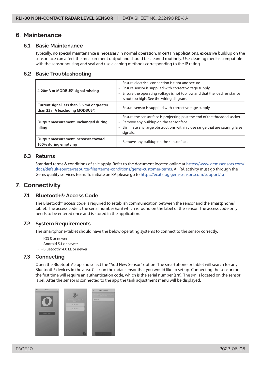# <span id="page-9-0"></span>**6. Maintenance**

#### **6.1 Basic Maintenance**

Typically, no special maintenance is necessary in normal operation. In certain applications, excessive buildup on the sensor face can affect the measurement output and should be cleaned routinely. Use cleaning medias compatible with the sensor housing and seal and use cleaning methods corresponding to the IP rating.

## **6.2 Basic Troubleshooting**

| 4-20mA or MODBUS® signal missing                                             | • Ensure electrical connection is tight and secure.<br>• Ensure sensor is supplied with correct voltage supply.<br>Ensure the operating voltage is not too low and that the load resistance<br>is not too high. See the wiring diagram. |  |
|------------------------------------------------------------------------------|-----------------------------------------------------------------------------------------------------------------------------------------------------------------------------------------------------------------------------------------|--|
| Current signal less than 3.6 mA or greater<br>than 22 mA (excluding MODBUS®) | Ensure sensor is supplied with correct voltage supply.                                                                                                                                                                                  |  |
| Output measurement unchanged during<br>filling                               | . Ensure the sensor face is projecting past the end of the threaded socket.<br>Remove any buildup on the sensor face.<br>Eliminate any large obstructions within close range that are causing false<br>signals.                         |  |
| Output measurement increases toward<br>100% during emptying                  | Remove any buildup on the sensor face.                                                                                                                                                                                                  |  |

#### **6.3 Returns**

Standard terms & conditions of sale apply. Refer to the document located online at [https://www.gemssensors.com/](https://www.gemssensors.com/docs/default-source/resource-files/terms-conditions/gems-customer-terms) [docs/default-source/resource-files/terms-conditions/gems-customer-terms](https://www.gemssensors.com/docs/default-source/resource-files/terms-conditions/gems-customer-terms). All RA activity must go through the Gems quality services team. To initiate an RA please go to [https://ecatalog.gemssensors.com/support/ra](https://ecatalog.gemssensors.com/support/ra ) 

# **7. Connectivity**

# **7.1 Bluetooth® Access Code**

The Bluetooth® access code is required to establish communication between the sensor and the smartphone/ tablet. The access code is the serial number (s/n) which is found on the label of the sensor. The access code only needs to be entered once and is stored in the application.

# **7.2 System Requirements**

The smartphone/tablet should have the below operating systems to connect to the sensor correctly.

- - iOS 8 or newer
- - Android 5.1 or newer
- - Bluetooth® 4.0 LE or newer

# **7.3 Connecting**

Open the Bluetooth® app and select the "Add New Sensor" option. The smartphone or tablet will search for any Bluetooth® devices in the area. Click on the radar sensor that you would like to set up. Connecting the sensor for the first time will require an authentication code, which is the serial number (s/n). The s/n is located on the sensor label. After the sensor is connected to the app the tank adjustment menu will be displayed.

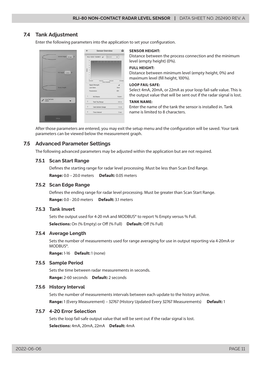# <span id="page-10-0"></span>**7.4 Tank Adjustment**

Enter the following parameters into the application to set your configuration.



#### **SENSOR HEIGHT:**

Distance between the process connection and the minimum level (empty height) (0%).

#### **FULL HEIGHT:**

Distance between minimum level (empty height, 0%) and maximum level (fill height, 100%).

#### **LOOP FAIL-SAFE:**

Select 4mA, 20mA, or 22mA as your loop fail-safe value. This is the output value that will be sent out if the radar signal is lost.

#### **TANK NAME:**

Enter the name of the tank the sensor is installed in. Tank name is limited to 8 characters.

After those parameters are entered, you may exit the setup menu and the configuration will be saved. Your tank parameters can be viewed below the measurement graph.

# **7.5 Advanced Parameter Settings**

The following advanced parameters may be adjusted within the application but are not required.

#### **7.5.1 Scan Start Range**

Defines the starting range for radar level processing. Must be less than Scan End Range. **Range:** 0.0 – 20.0 meters **Default:** 0.05 meters

#### **7.5.2 Scan Edge Range**

Defines the ending range for radar level processing. Must be greater than Scan Start Range. **Range:** 0.0 - 20.0 meters **Default:** 3.1 meters

# **7.5.3 Tank Invert**

Sets the output used for 4-20 mA and MODBUS® to report % Empty versus % Full. **Selections:** On (% Empty) or Off (% Full) **Default:** Off (% Full)

#### **7.5.4 Average Length**

Sets the number of measurements used for range averaging for use in output reporting via 4-20mA or MODBUS®.

**Range:** 1-16 **Default:** 1 (none)

#### **7.5.5 Sample Period**

Sets the time between radar measurements in seconds. **Range:** 2-60 seconds **Default:** 2 seconds

#### **7.5.6 History Interval**

Sets the number of measurements intervals between each update to the history archive. **Range:** 1 (Every Measurement) – 32767 (History Updated Every 32767 Measurements) **Default:** 1

#### **7.5.7 4-20 Error Selection**

Sets the loop fail-safe output value that will be sent out if the radar signal is lost. **Selections:** 4mA, 20mA, 22mA **Default:** 4mA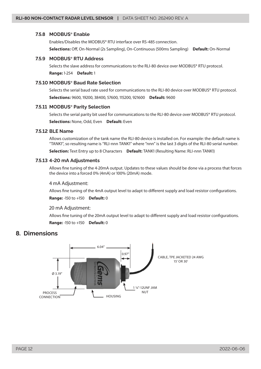#### <span id="page-11-0"></span>**7.5.8 MODBUS**® **Enable**

Enables/Disables the MODBUS® RTU interface over RS-485 connection. **Selections:** Off, On-Normal (2s Sampling), On-Continuous (500ms Sampling) **Default:** On-Normal

# **7.5.9 MODBUS**® **RTU Address**

Selects the slave address for communications to the RLI-80 device over MODBUS® RTU protocol. **Range:** 1-254 **Default:** 1

#### **7.5.10 MODBUS**® **Baud Rate Selection**

Selects the serial baud rate used for communications to the RLI-80 device over MODBUS® RTU protocol. **Selections:** 9600, 19200, 38400, 57600, 115200, 921600 **Default:** 9600

#### **7.5.11 MODBUS**® **Parity Selection**

Selects the serial parity bit used for communications to the RLI-80 device over MODBUS® RTU protocol. **Selections:** None, Odd, Even **Default:** Even

#### **7.5.12 BLE Name**

Allows customization of the tank name the RLI-80 device is installed on. For example: the default name is "TANK1", so resulting name is "RLI-nnn TANK1" where "nnn" is the last 3 digits of the RLI-80 serial number.

**Selection:** Text Entry up to 8 Characters **Default:** TANK1 (Resulting Name: RLI-nnn TANK1)

#### **7.5.13 4-20 mA Adjustments**

Allows fine tuning of the 4-20mA output. Updates to these values should be done via a process that forces the device into a forced 0% (4mA) or 100% (20mA) mode.

#### 4 mA Adjustment:

Allows fine tuning of the 4mA output level to adapt to different supply and load resistor configurations.

#### **Range:** -150 to +150 **Default:** 0

#### 20 mA Adjustment:

Allows fine tuning of the 20mA output level to adapt to different supply and load resistor configurations. **Range:** -150 to +150 **Default:** 0

# **8. Dimensions**

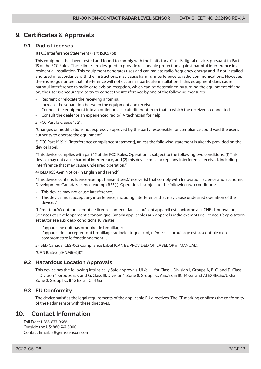# <span id="page-12-0"></span>**9. Certificates & Approvals**

## **9.1 Radio Licenses**

#### 1) FCC Interference Statement (Part 15.105 (b))

This equipment has been tested and found to comply with the limits for a Class B digital device, pursuant to Part 15 of the FCC Rules. These limits are designed to provide reasonable protection against harmful interference in a residential installation. This equipment generates uses and can radiate radio frequency energy and, if not installed and used in accordance with the instructions, may cause harmful interference to radio communications. However, there is no guarantee that interference will not occur in a particular installation. If this equipment does cause harmful interference to radio or television reception, which can be determined by turning the equipment off and on, the user is encouraged to try to correct the interference by one of the following measures:

- Reorient or relocate the receiving antenna.
- Increase the separation between the equipment and receiver.
- Connect the equipment into an outlet on a circuit different from that to which the receiver is connected.
- Consult the dealer or an experienced radio/TV technician for help.

#### 2) FCC Part 15 Clause 15.21:

"Changes or modifications not expressly approved by the party responsible for compliance could void the user's authority to operate the equipment"

3) FCC Part 15.19(a) [interference compliance statement], unless the following statement is already provided on the device label:

"This device complies with part 15 of the FCC Rules. Operation is subject to the following two conditions: (1) This device may not cause harmful interference, and (2) this device must accept any interference received, including interference that may cause undesired operation."

4) ISED RSS-Gen Notice (in English and French):

"This device contains licence-exempt transmitter(s)/receiver(s) that comply with Innovation, Science and Economic Development Canada's licence-exempt RSS(s). Operation is subject to the following two conditions:

- This device may not cause interference.
- This device must accept any interference, including interference that may cause undesired operation of the device. ."

"L'émetteur/récepteur exempt de licence contenu dans le présent appareil est conforme aux CNR d'Innovation, Sciences et Développement économique Canada applicables aux appareils radio exempts de licence. L'exploitation est autorisée aux deux conditions suivantes :

- L'appareil ne doit pas produire de brouillage;
- L'appareil doit accepter tout brouillage radioélectrique subi, même si le brouillage est susceptible d'en compromettre le fonctionnement. ."

5) ISED Canada ICES-003 Compliance Label (CAN BE PROVIDED ON LABEL OR in MANUAL):

"CAN ICES-3 (B)/NMB-3(B)"

# **9.2 Hazardous Location Approvals**

This device has the following Intrinsically Safe approvals. UL/c-UL for Class I, Division 1, Groups A, B, C, and D; Class II, Division 1, Groups E, F, and G; Class III, Division 1; Zone 0, Group IIC, AEx/Ex ia IIC T4 Ga; and ATEX/IECEx/UKEx Zone 0, Group IIC, II 1G Ex ia IIC T4 Ga

# **9.3 EU Conformity**

The device satisfies the legal requirements of the applicable EU directives. The CE marking confirms the conformity of the Radar sensor with these directives.

# **10. Contact Information**

Toll Free: 1-855-877-9666 Outside the US: 860-747-3000 Contact Email: is@gemssensors.com